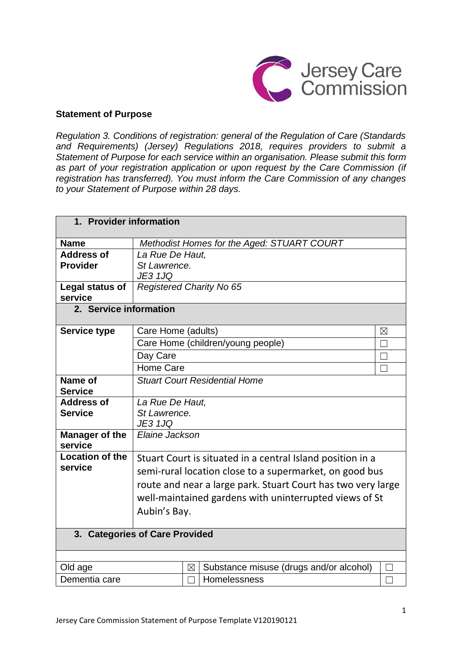

### **Statement of Purpose**

*Regulation 3. Conditions of registration: general of the Regulation of Care (Standards and Requirements) (Jersey) Regulations 2018, requires providers to submit a Statement of Purpose for each service within an organisation. Please submit this form as part of your registration application or upon request by the Care Commission (if registration has transferred). You must inform the Care Commission of any changes to your Statement of Purpose within 28 days.*

| 1. Provider information              |                                                   |             |                                                              |                |
|--------------------------------------|---------------------------------------------------|-------------|--------------------------------------------------------------|----------------|
| <b>Name</b>                          |                                                   |             | Methodist Homes for the Aged: STUART COURT                   |                |
| <b>Address of</b><br><b>Provider</b> | La Rue De Haut,<br>St Lawrence.<br><b>JE3 1JQ</b> |             |                                                              |                |
| Legal status of<br>service           | <b>Registered Charity No 65</b>                   |             |                                                              |                |
| 2. Service information               |                                                   |             |                                                              |                |
| <b>Service type</b>                  | Care Home (adults)                                |             |                                                              | ⊠              |
|                                      |                                                   |             | Care Home (children/young people)                            | П              |
|                                      | Day Care                                          |             |                                                              | <b>College</b> |
|                                      | <b>Home Care</b>                                  |             |                                                              | П              |
| Name of                              |                                                   |             | <b>Stuart Court Residential Home</b>                         |                |
| <b>Service</b>                       |                                                   |             |                                                              |                |
| <b>Address of</b>                    | La Rue De Haut,                                   |             |                                                              |                |
| <b>Service</b>                       | St Lawrence.<br><b>JE3 1JQ</b>                    |             |                                                              |                |
| <b>Manager of the</b>                | Elaine Jackson                                    |             |                                                              |                |
| service                              |                                                   |             |                                                              |                |
| <b>Location of the</b>               |                                                   |             | Stuart Court is situated in a central Island position in a   |                |
| service                              |                                                   |             | semi-rural location close to a supermarket, on good bus      |                |
|                                      |                                                   |             | route and near a large park. Stuart Court has two very large |                |
|                                      |                                                   |             | well-maintained gardens with uninterrupted views of St       |                |
|                                      | Aubin's Bay.                                      |             |                                                              |                |
|                                      |                                                   |             |                                                              |                |
| 3. Categories of Care Provided       |                                                   |             |                                                              |                |
|                                      |                                                   |             |                                                              |                |
| Old age                              |                                                   | $\boxtimes$ | Substance misuse (drugs and/or alcohol)                      | $\mathcal{L}$  |
| Dementia care                        |                                                   |             | Homelessness                                                 |                |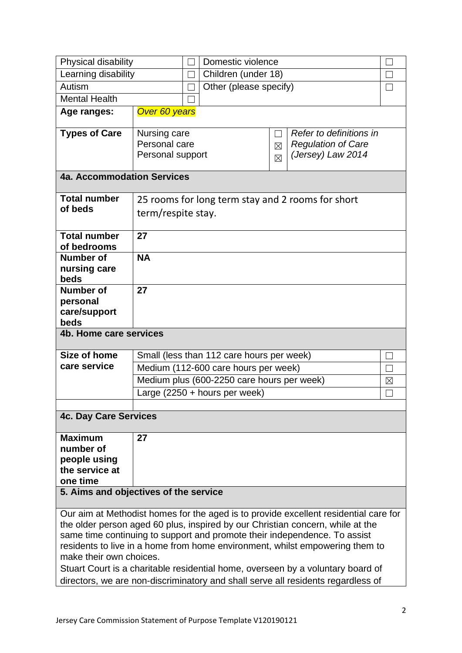| Physical disability                                                                                                                                                    |                                                                                  |                                                                         | Domestic violence                          |                   |                           |             |
|------------------------------------------------------------------------------------------------------------------------------------------------------------------------|----------------------------------------------------------------------------------|-------------------------------------------------------------------------|--------------------------------------------|-------------------|---------------------------|-------------|
| Learning disability                                                                                                                                                    |                                                                                  |                                                                         | Children (under 18)                        |                   |                           |             |
| Autism                                                                                                                                                                 |                                                                                  |                                                                         | Other (please specify)                     |                   |                           |             |
| <b>Mental Health</b>                                                                                                                                                   |                                                                                  |                                                                         |                                            |                   |                           |             |
| Age ranges:                                                                                                                                                            | Over 60 years                                                                    |                                                                         |                                            |                   |                           |             |
| <b>Types of Care</b>                                                                                                                                                   | Nursing care                                                                     |                                                                         |                                            | $\vert \ \ \vert$ | Refer to definitions in   |             |
|                                                                                                                                                                        | Personal care                                                                    |                                                                         |                                            | $\boxtimes$       | <b>Regulation of Care</b> |             |
|                                                                                                                                                                        | Personal support                                                                 |                                                                         |                                            | $\boxtimes$       | (Jersey) Law 2014         |             |
| 4a. Accommodation Services                                                                                                                                             |                                                                                  |                                                                         |                                            |                   |                           |             |
| <b>Total number</b>                                                                                                                                                    |                                                                                  |                                                                         |                                            |                   |                           |             |
| of beds                                                                                                                                                                |                                                                                  | 25 rooms for long term stay and 2 rooms for short<br>term/respite stay. |                                            |                   |                           |             |
| <b>Total number</b><br>of bedrooms                                                                                                                                     | 27                                                                               |                                                                         |                                            |                   |                           |             |
| <b>Number of</b>                                                                                                                                                       | <b>NA</b>                                                                        |                                                                         |                                            |                   |                           |             |
| nursing care<br>beds                                                                                                                                                   |                                                                                  |                                                                         |                                            |                   |                           |             |
| <b>Number of</b>                                                                                                                                                       | 27                                                                               |                                                                         |                                            |                   |                           |             |
| personal                                                                                                                                                               |                                                                                  |                                                                         |                                            |                   |                           |             |
| care/support                                                                                                                                                           |                                                                                  |                                                                         |                                            |                   |                           |             |
| beds<br>4b. Home care services                                                                                                                                         |                                                                                  |                                                                         |                                            |                   |                           |             |
|                                                                                                                                                                        |                                                                                  |                                                                         |                                            |                   |                           |             |
| Size of home                                                                                                                                                           |                                                                                  |                                                                         | Small (less than 112 care hours per week)  |                   |                           |             |
| care service                                                                                                                                                           |                                                                                  |                                                                         | Medium (112-600 care hours per week)       |                   |                           |             |
|                                                                                                                                                                        |                                                                                  |                                                                         | Medium plus (600-2250 care hours per week) |                   |                           | $\boxtimes$ |
|                                                                                                                                                                        | Large $(2250 + hours per week)$                                                  |                                                                         |                                            |                   |                           |             |
|                                                                                                                                                                        |                                                                                  |                                                                         |                                            |                   |                           |             |
| <b>4c. Day Care Services</b>                                                                                                                                           |                                                                                  |                                                                         |                                            |                   |                           |             |
| <b>Maximum</b>                                                                                                                                                         | 27                                                                               |                                                                         |                                            |                   |                           |             |
| number of                                                                                                                                                              |                                                                                  |                                                                         |                                            |                   |                           |             |
| people using<br>the service at                                                                                                                                         |                                                                                  |                                                                         |                                            |                   |                           |             |
| one time                                                                                                                                                               |                                                                                  |                                                                         |                                            |                   |                           |             |
| 5. Aims and objectives of the service                                                                                                                                  |                                                                                  |                                                                         |                                            |                   |                           |             |
|                                                                                                                                                                        |                                                                                  |                                                                         |                                            |                   |                           |             |
| Our aim at Methodist homes for the aged is to provide excellent residential care for<br>the older person aged 60 plus, inspired by our Christian concern, while at the |                                                                                  |                                                                         |                                            |                   |                           |             |
| same time continuing to support and promote their independence. To assist                                                                                              |                                                                                  |                                                                         |                                            |                   |                           |             |
| residents to live in a home from home environment, whilst empowering them to                                                                                           |                                                                                  |                                                                         |                                            |                   |                           |             |
| make their own choices.                                                                                                                                                |                                                                                  |                                                                         |                                            |                   |                           |             |
|                                                                                                                                                                        | Stuart Court is a charitable residential home, overseen by a voluntary board of  |                                                                         |                                            |                   |                           |             |
|                                                                                                                                                                        | directors, we are non-discriminatory and shall serve all residents regardless of |                                                                         |                                            |                   |                           |             |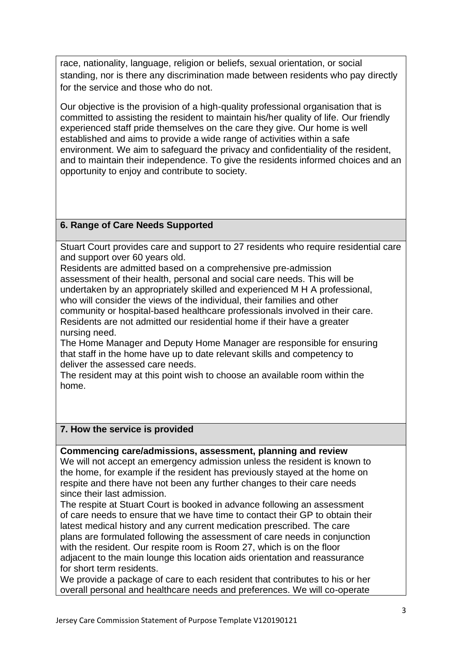race, nationality, language, religion or beliefs, sexual orientation, or social standing, nor is there any discrimination made between residents who pay directly for the service and those who do not.

Our objective is the provision of a high-quality professional organisation that is committed to assisting the resident to maintain his/her quality of life. Our friendly experienced staff pride themselves on the care they give. Our home is well established and aims to provide a wide range of activities within a safe environment. We aim to safeguard the privacy and confidentiality of the resident, and to maintain their independence. To give the residents informed choices and an opportunity to enjoy and contribute to society.

# **6. Range of Care Needs Supported**

Stuart Court provides care and support to 27 residents who require residential care and support over 60 years old.

Residents are admitted based on a comprehensive pre-admission assessment of their health, personal and social care needs. This will be undertaken by an appropriately skilled and experienced M H A professional, who will consider the views of the individual, their families and other community or hospital-based healthcare professionals involved in their care. Residents are not admitted our residential home if their have a greater nursing need.

The Home Manager and Deputy Home Manager are responsible for ensuring that staff in the home have up to date relevant skills and competency to deliver the assessed care needs.

The resident may at this point wish to choose an available room within the home.

# **7. How the service is provided**

## **Commencing care/admissions, assessment, planning and review**

We will not accept an emergency admission unless the resident is known to the home, for example if the resident has previously stayed at the home on respite and there have not been any further changes to their care needs since their last admission.

The respite at Stuart Court is booked in advance following an assessment of care needs to ensure that we have time to contact their GP to obtain their latest medical history and any current medication prescribed. The care plans are formulated following the assessment of care needs in conjunction with the resident. Our respite room is Room 27, which is on the floor adjacent to the main lounge this location aids orientation and reassurance for short term residents.

We provide a package of care to each resident that contributes to his or her overall personal and healthcare needs and preferences. We will co-operate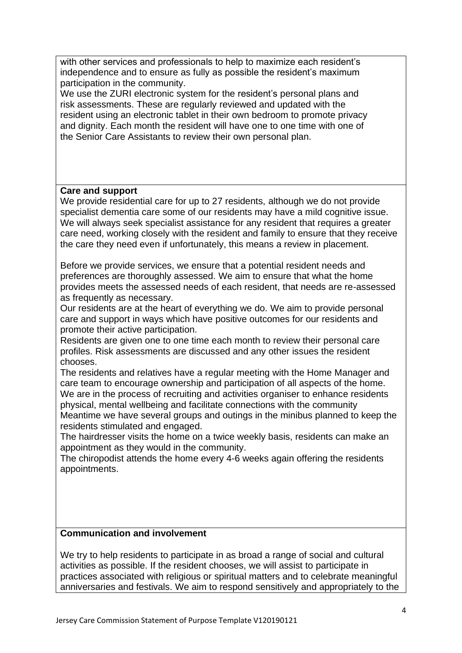with other services and professionals to help to maximize each resident's independence and to ensure as fully as possible the resident's maximum participation in the community.

We use the ZURI electronic system for the resident's personal plans and risk assessments. These are regularly reviewed and updated with the resident using an electronic tablet in their own bedroom to promote privacy and dignity. Each month the resident will have one to one time with one of the Senior Care Assistants to review their own personal plan.

#### **Care and support**

We provide residential care for up to 27 residents, although we do not provide specialist dementia care some of our residents may have a mild cognitive issue. We will always seek specialist assistance for any resident that requires a greater care need, working closely with the resident and family to ensure that they receive the care they need even if unfortunately, this means a review in placement.

Before we provide services, we ensure that a potential resident needs and preferences are thoroughly assessed. We aim to ensure that what the home provides meets the assessed needs of each resident, that needs are re-assessed as frequently as necessary.

Our residents are at the heart of everything we do. We aim to provide personal care and support in ways which have positive outcomes for our residents and promote their active participation.

Residents are given one to one time each month to review their personal care profiles. Risk assessments are discussed and any other issues the resident chooses.

The residents and relatives have a regular meeting with the Home Manager and care team to encourage ownership and participation of all aspects of the home. We are in the process of recruiting and activities organiser to enhance residents physical, mental wellbeing and facilitate connections with the community

Meantime we have several groups and outings in the minibus planned to keep the residents stimulated and engaged.

The hairdresser visits the home on a twice weekly basis, residents can make an appointment as they would in the community.

The chiropodist attends the home every 4-6 weeks again offering the residents appointments.

## **Communication and involvement**

We try to help residents to participate in as broad a range of social and cultural activities as possible. If the resident chooses, we will assist to participate in practices associated with religious or spiritual matters and to celebrate meaningful anniversaries and festivals. We aim to respond sensitively and appropriately to the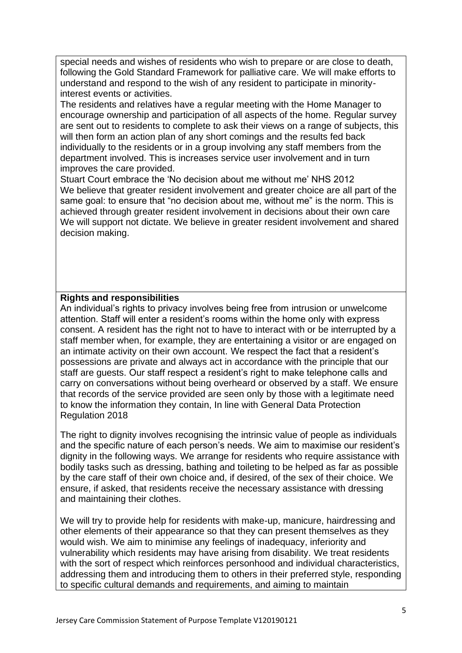special needs and wishes of residents who wish to prepare or are close to death, following the Gold Standard Framework for palliative care. We will make efforts to understand and respond to the wish of any resident to participate in minorityinterest events or activities.

The residents and relatives have a regular meeting with the Home Manager to encourage ownership and participation of all aspects of the home. Regular survey are sent out to residents to complete to ask their views on a range of subjects, this will then form an action plan of any short comings and the results fed back individually to the residents or in a group involving any staff members from the department involved. This is increases service user involvement and in turn improves the care provided.

Stuart Court embrace the 'No decision about me without me' NHS 2012 We believe that greater resident involvement and greater choice are all part of the same goal: to ensure that "no decision about me, without me" is the norm. This is achieved through greater resident involvement in decisions about their own care We will support not dictate. We believe in greater resident involvement and shared decision making.

## **Rights and responsibilities**

An individual's rights to privacy involves being free from intrusion or unwelcome attention. Staff will enter a resident's rooms within the home only with express consent. A resident has the right not to have to interact with or be interrupted by a staff member when, for example, they are entertaining a visitor or are engaged on an intimate activity on their own account. We respect the fact that a resident's possessions are private and always act in accordance with the principle that our staff are guests. Our staff respect a resident's right to make telephone calls and carry on conversations without being overheard or observed by a staff. We ensure that records of the service provided are seen only by those with a legitimate need to know the information they contain, In line with General Data Protection Regulation 2018

The right to dignity involves recognising the intrinsic value of people as individuals and the specific nature of each person's needs. We aim to maximise our resident's dignity in the following ways. We arrange for residents who require assistance with bodily tasks such as dressing, bathing and toileting to be helped as far as possible by the care staff of their own choice and, if desired, of the sex of their choice. We ensure, if asked, that residents receive the necessary assistance with dressing and maintaining their clothes.

We will try to provide help for residents with make-up, manicure, hairdressing and other elements of their appearance so that they can present themselves as they would wish. We aim to minimise any feelings of inadequacy, inferiority and vulnerability which residents may have arising from disability. We treat residents with the sort of respect which reinforces personhood and individual characteristics, addressing them and introducing them to others in their preferred style, responding to specific cultural demands and requirements, and aiming to maintain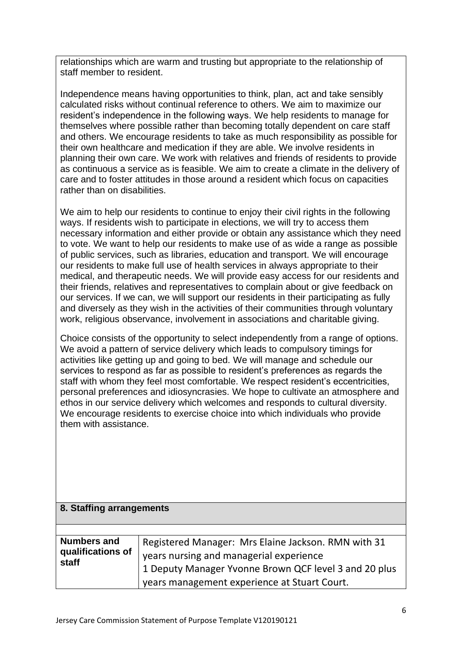relationships which are warm and trusting but appropriate to the relationship of staff member to resident.

Independence means having opportunities to think, plan, act and take sensibly calculated risks without continual reference to others. We aim to maximize our resident's independence in the following ways. We help residents to manage for themselves where possible rather than becoming totally dependent on care staff and others. We encourage residents to take as much responsibility as possible for their own healthcare and medication if they are able. We involve residents in planning their own care. We work with relatives and friends of residents to provide as continuous a service as is feasible. We aim to create a climate in the delivery of care and to foster attitudes in those around a resident which focus on capacities rather than on disabilities.

We aim to help our residents to continue to enjoy their civil rights in the following ways. If residents wish to participate in elections, we will try to access them necessary information and either provide or obtain any assistance which they need to vote. We want to help our residents to make use of as wide a range as possible of public services, such as libraries, education and transport. We will encourage our residents to make full use of health services in always appropriate to their medical, and therapeutic needs. We will provide easy access for our residents and their friends, relatives and representatives to complain about or give feedback on our services. If we can, we will support our residents in their participating as fully and diversely as they wish in the activities of their communities through voluntary work, religious observance, involvement in associations and charitable giving.

Choice consists of the opportunity to select independently from a range of options. We avoid a pattern of service delivery which leads to compulsory timings for activities like getting up and going to bed. We will manage and schedule our services to respond as far as possible to resident's preferences as regards the staff with whom they feel most comfortable. We respect resident's eccentricities, personal preferences and idiosyncrasies. We hope to cultivate an atmosphere and ethos in our service delivery which welcomes and responds to cultural diversity. We encourage residents to exercise choice into which individuals who provide them with assistance.

#### **8. Staffing arrangements**

| <b>Numbers and</b>              | Registered Manager: Mrs Elaine Jackson. RMN with 31   |
|---------------------------------|-------------------------------------------------------|
| qualifications of $\ $<br>staff | years nursing and managerial experience               |
|                                 | 1 Deputy Manager Yvonne Brown QCF level 3 and 20 plus |
|                                 | vears management experience at Stuart Court.          |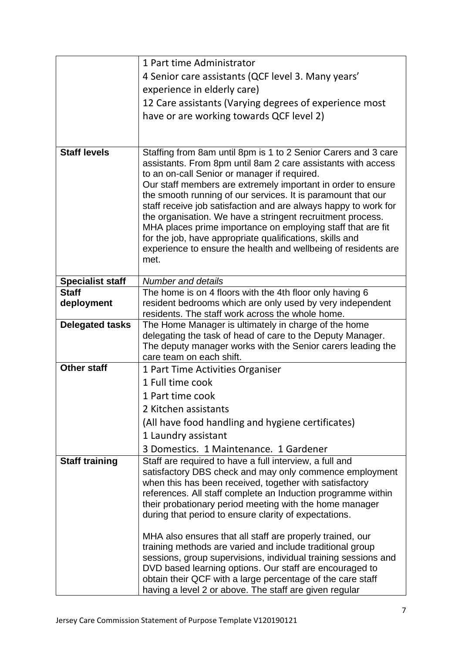|                         | 1 Part time Administrator                                                                                                                                                                                                                                                                                                                                                                                                                                                                                                                                                                                                                            |
|-------------------------|------------------------------------------------------------------------------------------------------------------------------------------------------------------------------------------------------------------------------------------------------------------------------------------------------------------------------------------------------------------------------------------------------------------------------------------------------------------------------------------------------------------------------------------------------------------------------------------------------------------------------------------------------|
|                         | 4 Senior care assistants (QCF level 3. Many years'                                                                                                                                                                                                                                                                                                                                                                                                                                                                                                                                                                                                   |
|                         | experience in elderly care)                                                                                                                                                                                                                                                                                                                                                                                                                                                                                                                                                                                                                          |
|                         | 12 Care assistants (Varying degrees of experience most                                                                                                                                                                                                                                                                                                                                                                                                                                                                                                                                                                                               |
|                         | have or are working towards QCF level 2)                                                                                                                                                                                                                                                                                                                                                                                                                                                                                                                                                                                                             |
|                         |                                                                                                                                                                                                                                                                                                                                                                                                                                                                                                                                                                                                                                                      |
|                         |                                                                                                                                                                                                                                                                                                                                                                                                                                                                                                                                                                                                                                                      |
| <b>Staff levels</b>     | Staffing from 8am until 8pm is 1 to 2 Senior Carers and 3 care<br>assistants. From 8pm until 8am 2 care assistants with access<br>to an on-call Senior or manager if required.<br>Our staff members are extremely important in order to ensure<br>the smooth running of our services. It is paramount that our<br>staff receive job satisfaction and are always happy to work for<br>the organisation. We have a stringent recruitment process.<br>MHA places prime importance on employing staff that are fit<br>for the job, have appropriate qualifications, skills and<br>experience to ensure the health and wellbeing of residents are<br>met. |
| <b>Specialist staff</b> | <b>Number and details</b>                                                                                                                                                                                                                                                                                                                                                                                                                                                                                                                                                                                                                            |
| <b>Staff</b>            | The home is on 4 floors with the 4th floor only having 6                                                                                                                                                                                                                                                                                                                                                                                                                                                                                                                                                                                             |
| deployment              | resident bedrooms which are only used by very independent<br>residents. The staff work across the whole home.                                                                                                                                                                                                                                                                                                                                                                                                                                                                                                                                        |
| <b>Delegated tasks</b>  | The Home Manager is ultimately in charge of the home                                                                                                                                                                                                                                                                                                                                                                                                                                                                                                                                                                                                 |
|                         | delegating the task of head of care to the Deputy Manager.                                                                                                                                                                                                                                                                                                                                                                                                                                                                                                                                                                                           |
|                         | The deputy manager works with the Senior carers leading the<br>care team on each shift.                                                                                                                                                                                                                                                                                                                                                                                                                                                                                                                                                              |
| <b>Other staff</b>      | 1 Part Time Activities Organiser                                                                                                                                                                                                                                                                                                                                                                                                                                                                                                                                                                                                                     |
|                         | 1 Full time cook                                                                                                                                                                                                                                                                                                                                                                                                                                                                                                                                                                                                                                     |
|                         | 1 Part time cook                                                                                                                                                                                                                                                                                                                                                                                                                                                                                                                                                                                                                                     |
|                         | 2 Kitchen assistants                                                                                                                                                                                                                                                                                                                                                                                                                                                                                                                                                                                                                                 |
|                         | (All have food handling and hygiene certificates)                                                                                                                                                                                                                                                                                                                                                                                                                                                                                                                                                                                                    |
|                         | 1 Laundry assistant                                                                                                                                                                                                                                                                                                                                                                                                                                                                                                                                                                                                                                  |
|                         | 3 Domestics. 1 Maintenance. 1 Gardener                                                                                                                                                                                                                                                                                                                                                                                                                                                                                                                                                                                                               |
| <b>Staff training</b>   | Staff are required to have a full interview, a full and                                                                                                                                                                                                                                                                                                                                                                                                                                                                                                                                                                                              |
|                         | satisfactory DBS check and may only commence employment                                                                                                                                                                                                                                                                                                                                                                                                                                                                                                                                                                                              |
|                         | when this has been received, together with satisfactory                                                                                                                                                                                                                                                                                                                                                                                                                                                                                                                                                                                              |
|                         | references. All staff complete an Induction programme within                                                                                                                                                                                                                                                                                                                                                                                                                                                                                                                                                                                         |
|                         | their probationary period meeting with the home manager<br>during that period to ensure clarity of expectations.                                                                                                                                                                                                                                                                                                                                                                                                                                                                                                                                     |
|                         |                                                                                                                                                                                                                                                                                                                                                                                                                                                                                                                                                                                                                                                      |
|                         | MHA also ensures that all staff are properly trained, our                                                                                                                                                                                                                                                                                                                                                                                                                                                                                                                                                                                            |
|                         | training methods are varied and include traditional group                                                                                                                                                                                                                                                                                                                                                                                                                                                                                                                                                                                            |
|                         | sessions, group supervisions, individual training sessions and<br>DVD based learning options. Our staff are encouraged to                                                                                                                                                                                                                                                                                                                                                                                                                                                                                                                            |
|                         | obtain their QCF with a large percentage of the care staff                                                                                                                                                                                                                                                                                                                                                                                                                                                                                                                                                                                           |
|                         | having a level 2 or above. The staff are given regular                                                                                                                                                                                                                                                                                                                                                                                                                                                                                                                                                                                               |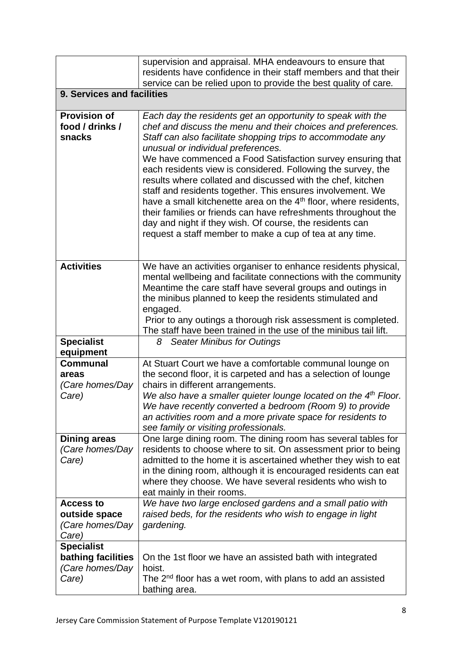|                                                                     | supervision and appraisal. MHA endeavours to ensure that<br>residents have confidence in their staff members and that their<br>service can be relied upon to provide the best quality of care.                                                                                                                                                                                                                                                                                                                                                                                                                                                                                                                                                                        |
|---------------------------------------------------------------------|-----------------------------------------------------------------------------------------------------------------------------------------------------------------------------------------------------------------------------------------------------------------------------------------------------------------------------------------------------------------------------------------------------------------------------------------------------------------------------------------------------------------------------------------------------------------------------------------------------------------------------------------------------------------------------------------------------------------------------------------------------------------------|
| 9. Services and facilities                                          |                                                                                                                                                                                                                                                                                                                                                                                                                                                                                                                                                                                                                                                                                                                                                                       |
| <b>Provision of</b><br>food / drinks /<br>snacks                    | Each day the residents get an opportunity to speak with the<br>chef and discuss the menu and their choices and preferences.<br>Staff can also facilitate shopping trips to accommodate any<br>unusual or individual preferences.<br>We have commenced a Food Satisfaction survey ensuring that<br>each residents view is considered. Following the survey, the<br>results where collated and discussed with the chef, kitchen<br>staff and residents together. This ensures involvement. We<br>have a small kitchenette area on the 4 <sup>th</sup> floor, where residents,<br>their families or friends can have refreshments throughout the<br>day and night if they wish. Of course, the residents can<br>request a staff member to make a cup of tea at any time. |
| <b>Activities</b>                                                   | We have an activities organiser to enhance residents physical,<br>mental wellbeing and facilitate connections with the community<br>Meantime the care staff have several groups and outings in<br>the minibus planned to keep the residents stimulated and<br>engaged.<br>Prior to any outings a thorough risk assessment is completed.<br>The staff have been trained in the use of the minibus tail lift.                                                                                                                                                                                                                                                                                                                                                           |
| <b>Specialist</b><br>equipment                                      | <b>Seater Minibus for Outings</b><br>8                                                                                                                                                                                                                                                                                                                                                                                                                                                                                                                                                                                                                                                                                                                                |
| <b>Communal</b><br>areas<br>(Care homes/Day<br>Care)                | At Stuart Court we have a comfortable communal lounge on<br>the second floor, it is carpeted and has a selection of lounge<br>chairs in different arrangements.<br>We also have a smaller quieter lounge located on the 4 <sup>th</sup> Floor.<br>We have recently converted a bedroom (Room 9) to provide<br>an activities room and a more private space for residents to<br>see family or visiting professionals.                                                                                                                                                                                                                                                                                                                                                   |
| <b>Dining areas</b><br>(Care homes/Day<br>Care)                     | One large dining room. The dining room has several tables for<br>residents to choose where to sit. On assessment prior to being<br>admitted to the home it is ascertained whether they wish to eat<br>in the dining room, although it is encouraged residents can eat<br>where they choose. We have several residents who wish to<br>eat mainly in their rooms.                                                                                                                                                                                                                                                                                                                                                                                                       |
| <b>Access to</b><br>outside space<br>(Care homes/Day<br>Care)       | We have two large enclosed gardens and a small patio with<br>raised beds, for the residents who wish to engage in light<br>gardening.                                                                                                                                                                                                                                                                                                                                                                                                                                                                                                                                                                                                                                 |
| <b>Specialist</b><br>bathing facilities<br>(Care homes/Day<br>Care) | On the 1st floor we have an assisted bath with integrated<br>hoist.<br>The 2 <sup>nd</sup> floor has a wet room, with plans to add an assisted<br>bathing area.                                                                                                                                                                                                                                                                                                                                                                                                                                                                                                                                                                                                       |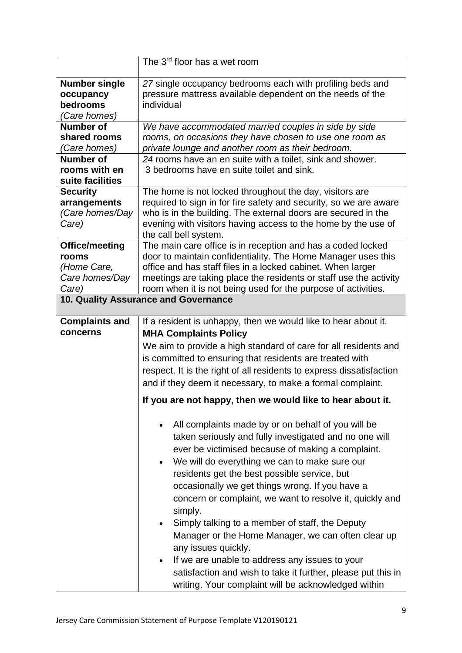|                                                                                       | The 3 <sup>rd</sup> floor has a wet room                                                                                                                                                                                                                                                                                                                                                                                                                                                                                                                                                                                                                                                                                                                  |
|---------------------------------------------------------------------------------------|-----------------------------------------------------------------------------------------------------------------------------------------------------------------------------------------------------------------------------------------------------------------------------------------------------------------------------------------------------------------------------------------------------------------------------------------------------------------------------------------------------------------------------------------------------------------------------------------------------------------------------------------------------------------------------------------------------------------------------------------------------------|
| <b>Number single</b><br>occupancy<br>bedrooms<br>(Care homes)<br><b>Number of</b>     | 27 single occupancy bedrooms each with profiling beds and<br>pressure mattress available dependent on the needs of the<br>individual<br>We have accommodated married couples in side by side                                                                                                                                                                                                                                                                                                                                                                                                                                                                                                                                                              |
| shared rooms<br>(Care homes)<br><b>Number of</b><br>rooms with en<br>suite facilities | rooms, on occasions they have chosen to use one room as<br>private lounge and another room as their bedroom.<br>24 rooms have an en suite with a toilet, sink and shower.<br>3 bedrooms have en suite toilet and sink.                                                                                                                                                                                                                                                                                                                                                                                                                                                                                                                                    |
| <b>Security</b><br>arrangements<br>(Care homes/Day<br>Care)                           | The home is not locked throughout the day, visitors are<br>required to sign in for fire safety and security, so we are aware<br>who is in the building. The external doors are secured in the<br>evening with visitors having access to the home by the use of<br>the call bell system.                                                                                                                                                                                                                                                                                                                                                                                                                                                                   |
| Office/meeting<br>rooms<br>(Home Care,<br>Care homes/Day<br>Care)                     | The main care office is in reception and has a coded locked<br>door to maintain confidentiality. The Home Manager uses this<br>office and has staff files in a locked cabinet. When larger<br>meetings are taking place the residents or staff use the activity<br>room when it is not being used for the purpose of activities.                                                                                                                                                                                                                                                                                                                                                                                                                          |
|                                                                                       | 10. Quality Assurance and Governance                                                                                                                                                                                                                                                                                                                                                                                                                                                                                                                                                                                                                                                                                                                      |
| <b>Complaints and</b><br>concerns                                                     | If a resident is unhappy, then we would like to hear about it.<br><b>MHA Complaints Policy</b><br>We aim to provide a high standard of care for all residents and<br>is committed to ensuring that residents are treated with<br>respect. It is the right of all residents to express dissatisfaction<br>and if they deem it necessary, to make a formal complaint.                                                                                                                                                                                                                                                                                                                                                                                       |
|                                                                                       | If you are not happy, then we would like to hear about it.                                                                                                                                                                                                                                                                                                                                                                                                                                                                                                                                                                                                                                                                                                |
|                                                                                       | All complaints made by or on behalf of you will be<br>$\bullet$<br>taken seriously and fully investigated and no one will<br>ever be victimised because of making a complaint.<br>We will do everything we can to make sure our<br>$\bullet$<br>residents get the best possible service, but<br>occasionally we get things wrong. If you have a<br>concern or complaint, we want to resolve it, quickly and<br>simply.<br>Simply talking to a member of staff, the Deputy<br>$\bullet$<br>Manager or the Home Manager, we can often clear up<br>any issues quickly.<br>If we are unable to address any issues to your<br>$\bullet$<br>satisfaction and wish to take it further, please put this in<br>writing. Your complaint will be acknowledged within |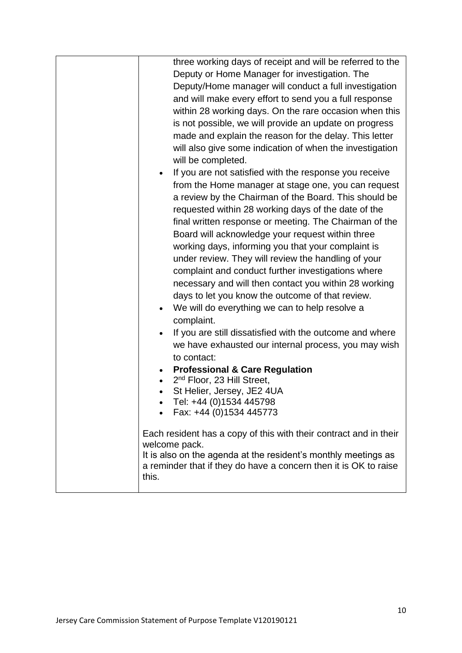| three working days of receipt and will be referred to the           |
|---------------------------------------------------------------------|
| Deputy or Home Manager for investigation. The                       |
| Deputy/Home manager will conduct a full investigation               |
| and will make every effort to send you a full response              |
|                                                                     |
| within 28 working days. On the rare occasion when this              |
| is not possible, we will provide an update on progress              |
| made and explain the reason for the delay. This letter              |
| will also give some indication of when the investigation            |
| will be completed.                                                  |
| If you are not satisfied with the response you receive<br>$\bullet$ |
| from the Home manager at stage one, you can request                 |
| a review by the Chairman of the Board. This should be               |
| requested within 28 working days of the date of the                 |
| final written response or meeting. The Chairman of the              |
| Board will acknowledge your request within three                    |
| working days, informing you that your complaint is                  |
| under review. They will review the handling of your                 |
| complaint and conduct further investigations where                  |
|                                                                     |
| necessary and will then contact you within 28 working               |
| days to let you know the outcome of that review.                    |
| We will do everything we can to help resolve a<br>$\bullet$         |
| complaint.                                                          |
| If you are still dissatisfied with the outcome and where            |
| we have exhausted our internal process, you may wish                |
| to contact:                                                         |
| <b>Professional &amp; Care Regulation</b>                           |
| 2 <sup>nd</sup> Floor, 23 Hill Street,                              |
| St Helier, Jersey, JE2 4UA                                          |
| Tel: +44 (0)1534 445798                                             |
| Fax: +44 (0)1534 445773                                             |
| Each resident has a copy of this with their contract and in their   |
| welcome pack.                                                       |
| It is also on the agenda at the resident's monthly meetings as      |
| a reminder that if they do have a concern then it is OK to raise    |
| this.                                                               |
|                                                                     |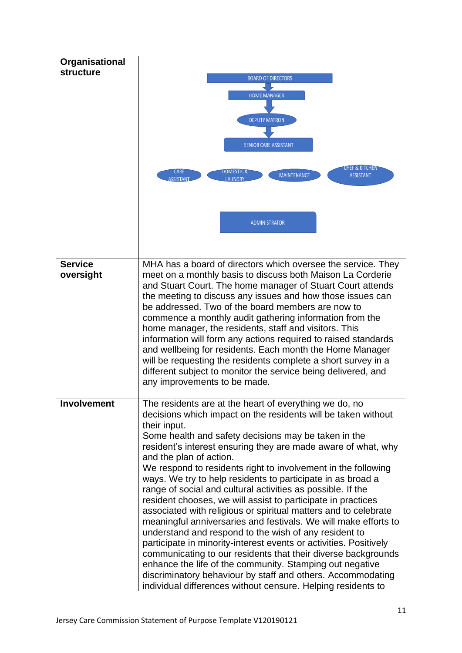| Organisational     |                                                                                                                                                                                        |
|--------------------|----------------------------------------------------------------------------------------------------------------------------------------------------------------------------------------|
| <b>structure</b>   | <b>BOARD OF DIRECTORS</b>                                                                                                                                                              |
|                    |                                                                                                                                                                                        |
|                    | <b>HOME MANAGER</b>                                                                                                                                                                    |
|                    |                                                                                                                                                                                        |
|                    | <b>DEPUTY MATRON</b>                                                                                                                                                                   |
|                    |                                                                                                                                                                                        |
|                    | <b>SENIOR CARE ASSISTANT</b>                                                                                                                                                           |
|                    | CHEF & KITCHEN<br>CARE<br>DOMESTIC &<br><b>MAINTENANCE</b><br><b>ASSISTANT</b><br><b>ASSISTANT</b><br>LAUNDRY                                                                          |
|                    | <b>ADMINISTRATOR</b>                                                                                                                                                                   |
| <b>Service</b>     | MHA has a board of directors which oversee the service. They                                                                                                                           |
| oversight          | meet on a monthly basis to discuss both Maison La Corderie<br>and Stuart Court. The home manager of Stuart Court attends<br>the meeting to discuss any issues and how those issues can |
|                    | be addressed. Two of the board members are now to<br>commence a monthly audit gathering information from the                                                                           |
|                    | home manager, the residents, staff and visitors. This                                                                                                                                  |
|                    | information will form any actions required to raised standards                                                                                                                         |
|                    | and wellbeing for residents. Each month the Home Manager                                                                                                                               |
|                    | will be requesting the residents complete a short survey in a                                                                                                                          |
|                    | different subject to monitor the service being delivered, and<br>any improvements to be made.                                                                                          |
|                    |                                                                                                                                                                                        |
| <b>Involvement</b> | The residents are at the heart of everything we do, no<br>decisions which impact on the residents will be taken without                                                                |
|                    | their input.                                                                                                                                                                           |
|                    | Some health and safety decisions may be taken in the                                                                                                                                   |
|                    | resident's interest ensuring they are made aware of what, why<br>and the plan of action.                                                                                               |
|                    | We respond to residents right to involvement in the following                                                                                                                          |
|                    | ways. We try to help residents to participate in as broad a                                                                                                                            |
|                    | range of social and cultural activities as possible. If the                                                                                                                            |
|                    | resident chooses, we will assist to participate in practices                                                                                                                           |
|                    | associated with religious or spiritual matters and to celebrate                                                                                                                        |
|                    | meaningful anniversaries and festivals. We will make efforts to<br>understand and respond to the wish of any resident to                                                               |
|                    | participate in minority-interest events or activities. Positively                                                                                                                      |
|                    | communicating to our residents that their diverse backgrounds                                                                                                                          |
|                    | enhance the life of the community. Stamping out negative                                                                                                                               |
|                    | discriminatory behaviour by staff and others. Accommodating                                                                                                                            |
|                    | individual differences without censure. Helping residents to                                                                                                                           |